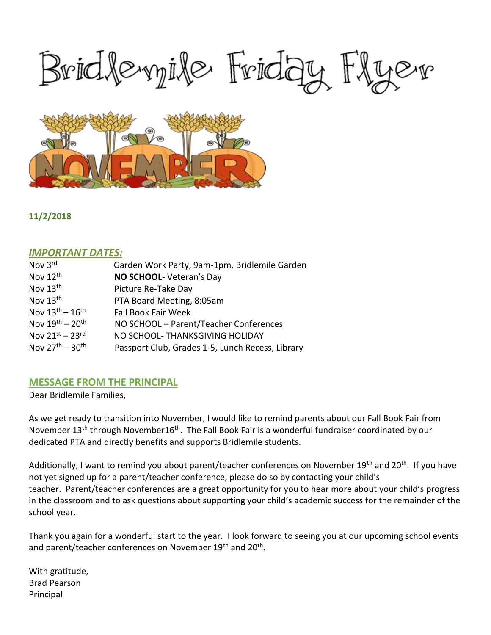Bridleryile Friday Flyer



# **11/2/2018**

## *IMPORTANT DATES:*

| Nov 3rd                   | Garden Work Party, 9am-1pm, Bridlemile Garden    |
|---------------------------|--------------------------------------------------|
| Nov 12 <sup>th</sup>      | NO SCHOOL-Veteran's Day                          |
| Nov 13 <sup>th</sup>      | Picture Re-Take Day                              |
| Nov $13th$                | PTA Board Meeting, 8:05am                        |
| Nov $13^{th} - 16^{th}$   | <b>Fall Book Fair Week</b>                       |
| Nov $19^{th} - 20^{th}$   | NO SCHOOL - Parent/Teacher Conferences           |
| Nov $21^{st}$ – $23^{rd}$ | NO SCHOOL- THANKSGIVING HOLIDAY                  |
| Nov $27^{th} - 30^{th}$   | Passport Club, Grades 1-5, Lunch Recess, Library |

## **MESSAGE FROM THE PRINCIPAL**

Dear Bridlemile Families,

As we get ready to transition into November, I would like to remind parents about our Fall Book Fair from November 13<sup>th</sup> through November16<sup>th</sup>. The Fall Book Fair is a wonderful fundraiser coordinated by our dedicated PTA and directly benefits and supports Bridlemile students.

Additionally, I want to remind you about parent/teacher conferences on November 19<sup>th</sup> and 20<sup>th</sup>. If you have not yet signed up for a parent/teacher conference, please do so by contacting your child's teacher. Parent/teacher conferences are a great opportunity for you to hear more about your child's progress in the classroom and to ask questions about supporting your child's academic success for the remainder of the school year.

Thank you again for a wonderful start to the year. I look forward to seeing you at our upcoming school events and parent/teacher conferences on November 19<sup>th</sup> and 20<sup>th</sup>.

With gratitude, Brad Pearson Principal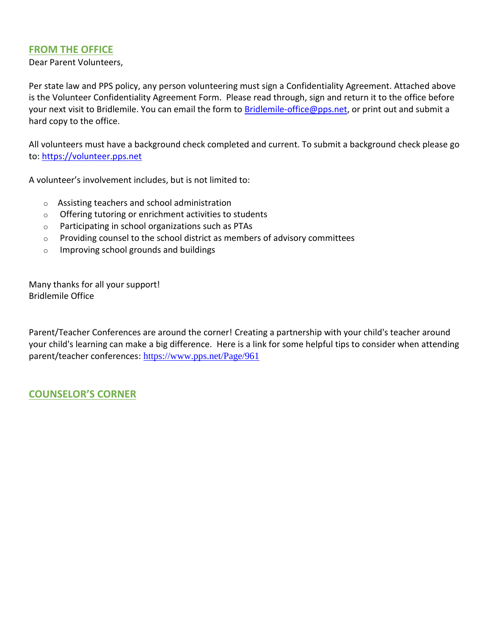# **FROM THE OFFICE**

Dear Parent Volunteers,

Per state law and PPS policy, any person volunteering must sign a Confidentiality Agreement. Attached above is the Volunteer Confidentiality Agreement Form. Please read through, sign and return it to the office before your next visit to Bridlemile. You can email the form to **Bridlemile-office@pps.net**, or print out and submit a hard copy to the office.

All volunteers must have a background check completed and current. To submit a background check please go to: [https://volunteer.pps.net](https://volunteer.pps.net/)

A volunteer's involvement includes, but is not limited to:

- o Assisting teachers and school administration
- o Offering tutoring or enrichment activities to students
- o Participating in school organizations such as PTAs
- o Providing counsel to the school district as members of advisory committees
- o Improving school grounds and buildings

Many thanks for all your support! Bridlemile Office

Parent/Teacher Conferences are around the corner! Creating a partnership with your child's teacher around your child's learning can make a big difference. Here is a link for some helpful tips to consider when attending parent/teacher conferences: <https://www.pps.net/Page/961>

**COUNSELOR'S CORNER**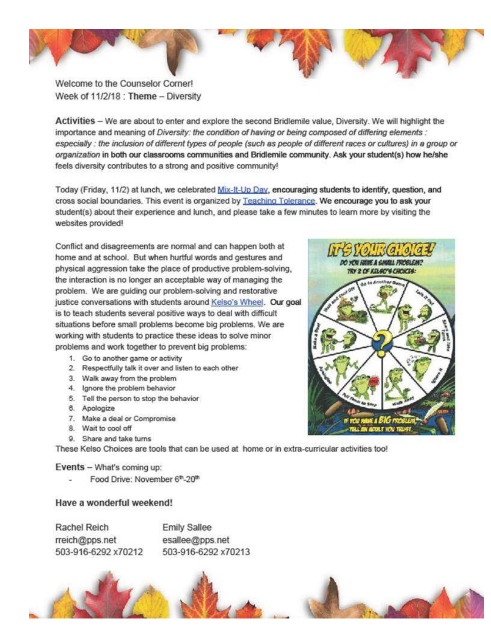Welcome to the Counselor Corner! Week of 11/2/18 : Theme - Diversity

Activities - We are about to enter and explore the second Bridlemile value, Diversity. We will highlight the importance and meaning of Diversity: the condition of having or being composed of differing elements : especially: the inclusion of different types of people (such as people of different races or cultures) in a group or organization in both our classrooms communities and Bridlemile community. Ask your student(s) how he/she feels diversity contributes to a strong and positive community!

Today (Friday, 11/2) at lunch, we celebrated Mix-It-Up Day, encouraging students to identify, question, and cross social boundaries. This event is organized by Teaching Tolerance. We encourage you to ask your student(s) about their experience and lunch, and please take a few minutes to learn more by visiting the websites provided!

Conflict and disagreements are normal and can happen both at home and at school. But when hurtful words and gestures and physical aggression take the place of productive problem-solving. the interaction is no longer an acceptable way of managing the problem. We are guiding our problem-solving and restorative justice conversations with students around Kelso's Wheel. Our goal is to teach students several positive ways to deal with difficult situations before small problems become big problems. We are working with students to practice these ideas to solve minor problems and work together to prevent big problems:

- 1. Go to another game or activity
- 2. Respectfully talk it over and listen to each other
- 3. Walk away from the problem
- 4. Ignore the problem behavior
- 5. Tell the person to stop the behavior
- 6. Apologize
- 7. Make a deal or Compromise
- 8. Wait to cool off
- 9. Share and take turns

These Kelso Choices are tools that can be used at home or in extra-curricular activities too!

#### Events - What's coming up:

Food Drive: November 6th-20th

#### Have a wonderful weekend!

| Rachel Reich        | <b>Emily Sallee</b> |  |  |
|---------------------|---------------------|--|--|
| rreich@pps.net      | esallee@pps.net     |  |  |
| 503-916-6292 x70212 | 503-916-6292 x70213 |  |  |

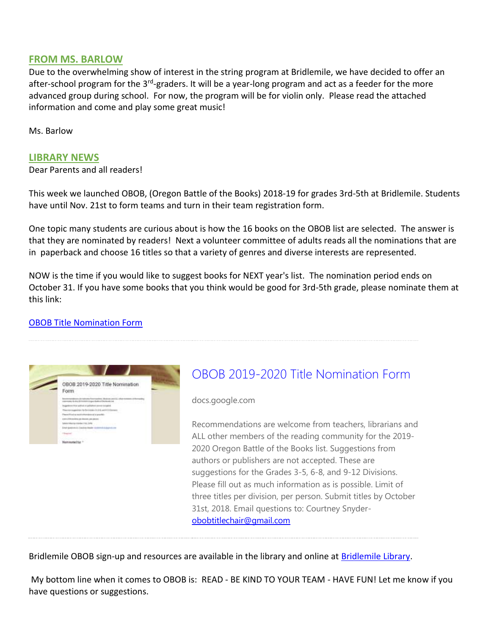# **FROM MS. BARLOW**

Due to the overwhelming show of interest in the string program at Bridlemile, we have decided to offer an after-school program for the 3<sup>rd</sup>-graders. It will be a year-long program and act as a feeder for the more advanced group during school. For now, the program will be for violin only. Please read the attached information and come and play some great music!

Ms. Barlow

## **LIBRARY NEWS**

Dear Parents and all readers!

This week we launched OBOB, (Oregon Battle of the Books) 2018-19 for grades 3rd-5th at Bridlemile. Students have until Nov. 21st to form teams and turn in their team registration form.

One topic many students are curious about is how the 16 books on the OBOB list are selected. The answer is that they are nominated by readers! Next a volunteer committee of adults reads all the nominations that are in paperback and choose 16 titles so that a variety of genres and diverse interests are represented.

NOW is the time if you would like to suggest books for NEXT year's list. The nomination period ends on October 31. If you have some books that you think would be good for 3rd-5th grade, please nominate them at this link:

# [OBOB Title Nomination Form](https://docs.google.com/forms/d/e/1FAIpQLSdIgVUDgQ5eompzTZnH695cz-44giMf-vWPud-0hRTIKuReHQ/viewform)

| 0B0B 2019-2020 Title Nomination<br>Form                       |
|---------------------------------------------------------------|
|                                                               |
| the direct disk ritualization in stage is the prime of Newton |
|                                                               |
| an installation for the figures of the direc-                 |
| <b>Secret@cod as too</b>                                      |
| <b>HELA AND BUSINES AND AREA</b>                              |
|                                                               |
| Automobile Charless Mouse                                     |
|                                                               |

# [OBOB 2019-2020 Title Nomination Form](https://docs.google.com/forms/d/e/1FAIpQLSdIgVUDgQ5eompzTZnH695cz-44giMf-vWPud-0hRTIKuReHQ/viewform)

docs.google.com

Recommendations are welcome from teachers, librarians and ALL other members of the reading community for the 2019- 2020 Oregon Battle of the Books list. Suggestions from authors or publishers are not accepted. These are suggestions for the Grades 3-5, 6-8, and 9-12 Divisions. Please fill out as much information as is possible. Limit of three titles per division, per person. Submit titles by October 31st, 2018. Email questions to: Courtney Snyder[obobtitlechair@gmail.com](mailto:obobtitlechair@gmail.com)

Bridlemile OBOB sign-up and resources are available in the library and online at [Bridlemile Library.](https://sites.google.com/a/apps4pps.net/bridlemile-library/)

My bottom line when it comes to OBOB is: READ - BE KIND TO YOUR TEAM - HAVE FUN! Let me know if you have questions or suggestions.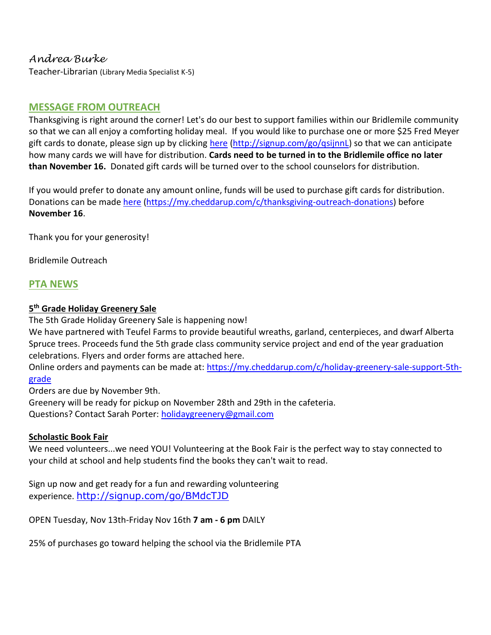# *Andrea Burke*

Teacher-Librarian (Library Media Specialist K-5)

# **MESSAGE FROM OUTREACH**

Thanksgiving is right around the corner! Let's do our best to support families within our Bridlemile community so that we can all enjoy a comforting holiday meal. If you would like to purchase one or more \$25 Fred Meyer gift cards to donate, please sign up by clicking [here](http://signup.com/go/qsijnnL) [\(http://signup.com/go/qsijnnL\)](http://signup.com/go/qsijnnL) so that we can anticipate how many cards we will have for distribution. **Cards need to be turned in to the Bridlemile office no later than November 16.** Donated gift cards will be turned over to the school counselors for distribution.

If you would prefer to donate any amount online, funds will be used to purchase gift cards for distribution. Donations can be mad[e here](https://my.cheddarup.com/c/thanksgiving-outreach-donations) [\(https://my.cheddarup.com/c/thanksgiving-outreach-donations\)](https://my.cheddarup.com/c/thanksgiving-outreach-donations) before **November 16**.

Thank you for your generosity!

Bridlemile Outreach

# **PTA NEWS**

# **5 th Grade Holiday Greenery Sale**

The 5th Grade Holiday Greenery Sale is happening now!

We have partnered with Teufel Farms to provide beautiful wreaths, garland, centerpieces, and dwarf Alberta Spruce trees. Proceeds fund the 5th grade class community service project and end of the year graduation celebrations. Flyers and order forms are attached here.

Online orders and payments can be made at: [https://my.cheddarup.com/c/holiday-greenery-sale-support-5th](https://my.cheddarup.com/c/holiday-greenery-sale-support-5th-grade)[grade](https://my.cheddarup.com/c/holiday-greenery-sale-support-5th-grade)

Orders are due by November 9th.

Greenery will be ready for pickup on November 28th and 29th in the cafeteria. Questions? Contact Sarah Porter: [holidaygreenery@gmail.com](mailto:holidaygreenery@gmail.com)

# **Scholastic Book Fair**

We need volunteers...we need YOU! Volunteering at the Book Fair is the perfect way to stay connected to your child at school and help students find the books they can't wait to read.

Sign up now and get ready for a fun and rewarding volunteering experience. <http://signup.com/go/BMdcTJD>

OPEN Tuesday, Nov 13th-Friday Nov 16th **7 am - 6 pm** DAILY

25% of purchases go toward helping the school via the Bridlemile PTA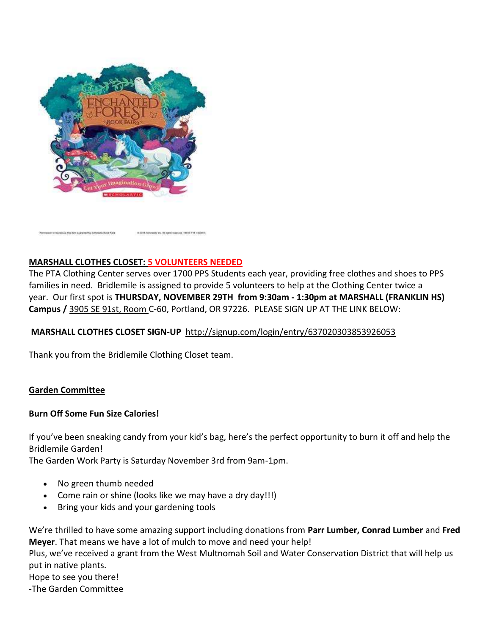

# **MARSHALL CLOTHES CLOSET: 5 VOLUNTEERS NEEDED**

The PTA Clothing Center serves over 1700 PPS Students each year, providing free clothes and shoes to PPS families in need. Bridlemile is assigned to provide 5 volunteers to help at the Clothing Center twice a year. Our first spot is **THURSDAY, NOVEMBER 29TH from 9:30am - 1:30pm at MARSHALL (FRANKLIN HS) Campus /** [3905 SE 91st, Room](https://maps.google.com/?q=3905+SE+91st,+Room+B&entry=gmail&source=g) C-60, Portland, OR 97226. PLEASE SIGN UP AT THE LINK BELOW:

## **MARSHALL CLOTHES CLOSET SIGN-UP** <http://signup.com/login/entry/637020303853926053>

Thank you from the Bridlemile Clothing Closet team.

## **Garden Committee**

## **Burn Off Some Fun Size Calories!**

If you've been sneaking candy from your kid's bag, here's the perfect opportunity to burn it off and help the Bridlemile Garden!

The Garden Work Party is Saturday November 3rd from 9am-1pm.

- No green thumb needed
- Come rain or shine (looks like we may have a dry day!!!)
- Bring your kids and your gardening tools

We're thrilled to have some amazing support including donations from **Parr Lumber, Conrad Lumber** and **Fred Meyer**. That means we have a lot of mulch to move and need your help! Plus, we've received a grant from the West Multnomah Soil and Water Conservation District that will help us put in native plants. Hope to see you there! -The Garden Committee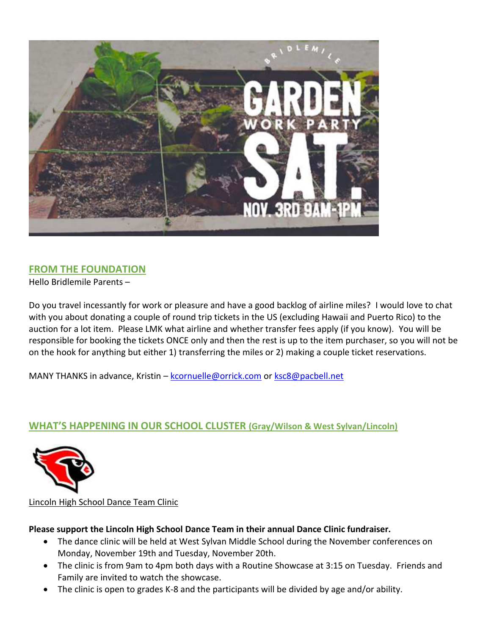

# **FROM THE FOUNDATION**

Hello Bridlemile Parents –

Do you travel incessantly for work or pleasure and have a good backlog of airline miles? I would love to chat with you about donating a couple of round trip tickets in the US (excluding Hawaii and Puerto Rico) to the auction for a lot item. Please LMK what airline and whether transfer fees apply (if you know). You will be responsible for booking the tickets ONCE only and then the rest is up to the item purchaser, so you will not be on the hook for anything but either 1) transferring the miles or 2) making a couple ticket reservations.

MANY THANKS in advance, Kristin – [kcornuelle@orrick.com](mailto:kcornuelle@orrick.com) or [ksc8@pacbell.net](mailto:ksc8@pacbell.net)

# **WHAT'S HAPPENING IN OUR SCHOOL CLUSTER (Gray/Wilson & West Sylvan/Lincoln)**



Lincoln High School Dance Team Clinic

# **Please support the Lincoln High School Dance Team in their annual Dance Clinic fundraiser.**

- The dance clinic will be held at West Sylvan Middle School during the November conferences on Monday, November 19th and Tuesday, November 20th.
- The clinic is from 9am to 4pm both days with a Routine Showcase at 3:15 on Tuesday. Friends and Family are invited to watch the showcase.
- The clinic is open to grades K-8 and the participants will be divided by age and/or ability.